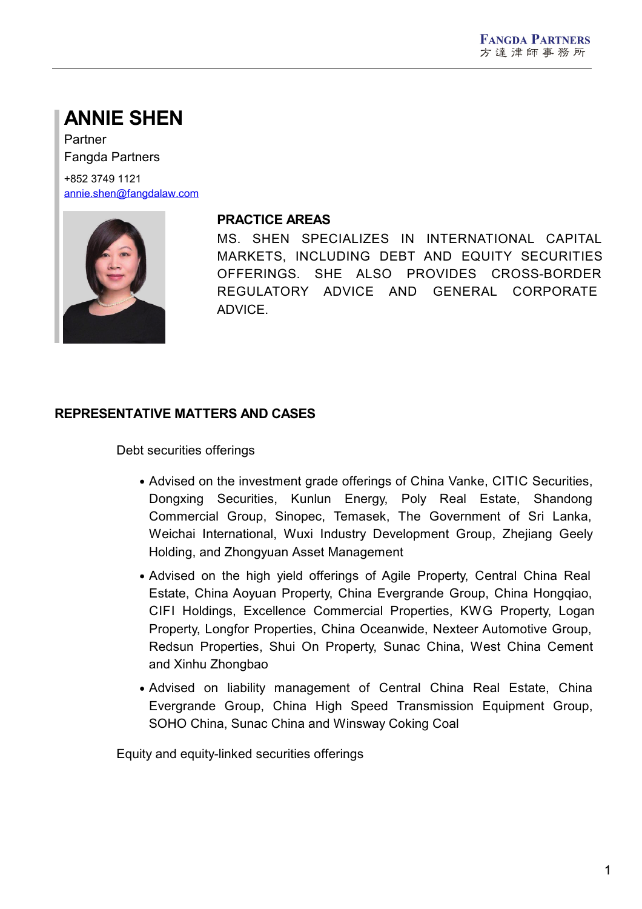# **ANNIE SHEN**

Partner Fangda Partners

+852 3749 1121 [annie.shen@fangdalaw.com](mailto:annie.shen@fangdalaw.com)



#### **PRACTICE AREAS**

MS. SHEN SPECIALIZES IN INTERNATIONAL CAPITAL MARKETS, INCLUDING DEBT AND EQUITY SECURITIES OFFERINGS. SHE ALSO PROVIDES CROSS-BORDER REGULATORY ADVICE AND GENERAL CORPORATE ADVICE.

## **REPRESENTATIVE MATTERS AND CASES**

Debt securities offerings

- Advised on the investment grade offerings of China Vanke, CITIC Securities, Dongxing Securities, Kunlun Energy, Poly Real Estate, Shandong Commercial Group, Sinopec, Temasek, The Government of Sri Lanka, Weichai International, Wuxi Industry Development Group, Zhejiang Geely Holding, and Zhongyuan Asset Management
- Advised on the high yield offerings of Agile Property, Central China Real Estate, China Aoyuan Property, China Evergrande Group, China Hongqiao, CIFI Holdings, Excellence Commercial Properties, KWG Property, Logan Property, Longfor Properties, China Oceanwide, Nexteer Automotive Group, Redsun Properties, Shui On Property, Sunac China, West China Cement and Xinhu Zhongbao
- Advised on liability management of Central China Real Estate, China Evergrande Group, China High Speed Transmission Equipment Group, SOHO China, Sunac China and Winsway Coking Coal

Equity and equity-linked securities offerings